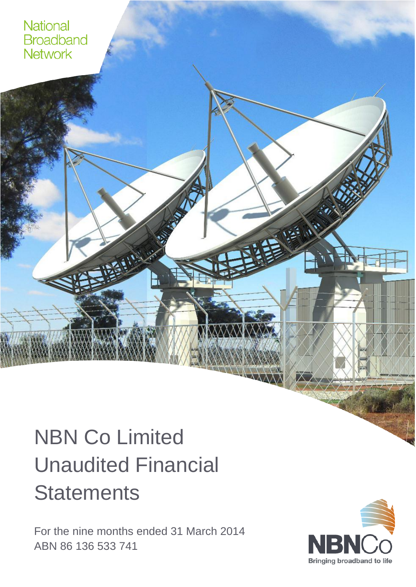

# NBN Co Limited Unaudited Financial **Statements**

For the nine months ended 31 March 2014 ABN 86 136 533 741

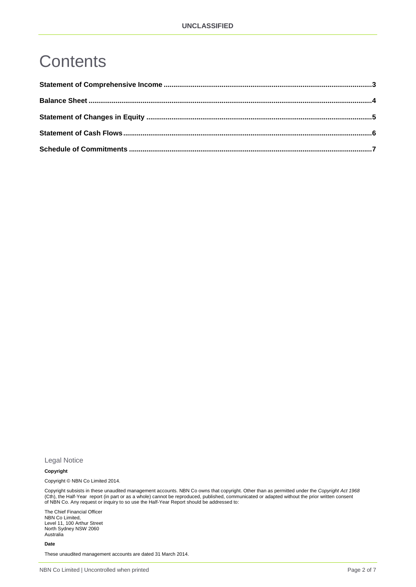# **Contents**

Legal Notice

#### **Copyright**

Copyright © NBN Co Limited 2014.

Copyright subsists in these unaudited management accounts. NBN Co owns that copyright. Other than as permitted under the *Copyright Act 1968* (Cth), the Half-Year report (in part or as a whole) cannot be reproduced, published, communicated or adapted without the prior written consent of NBN Co. Any request or inquiry to so use the Half-Year Report should be addressed to:

The Chief Financial Officer NBN Co Limited, Level 11, 100 Arthur Street North Sydney NSW 2060 Australia

**Date**

These unaudited management accounts are dated 31 March 2014.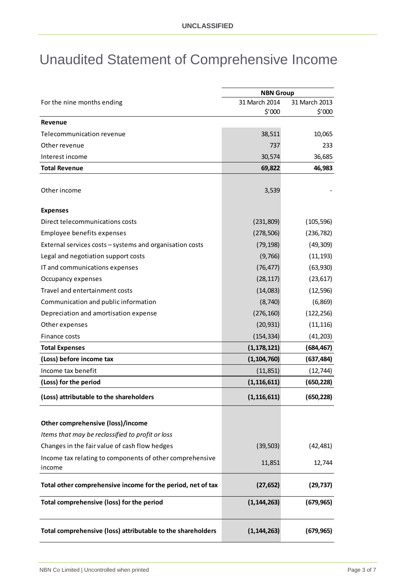### Unaudited Statement of Comprehensive Income

|                                                             | <b>NBN Group</b> |               |
|-------------------------------------------------------------|------------------|---------------|
| For the nine months ending                                  | 31 March 2014    | 31 March 2013 |
|                                                             | \$′000           | \$′000        |
| <b>Revenue</b>                                              |                  |               |
| Telecommunication revenue                                   | 38,511           | 10,065        |
| Other revenue                                               | 737              | 233           |
| Interest income                                             | 30,574           | 36,685        |
| <b>Total Revenue</b>                                        | 69,822           | 46,983        |
| Other income                                                | 3,539            |               |
| <b>Expenses</b>                                             |                  |               |
| Direct telecommunications costs                             | (231, 809)       | (105, 596)    |
| Employee benefits expenses                                  | (278, 506)       | (236, 782)    |
| External services costs - systems and organisation costs    | (79, 198)        | (49, 309)     |
| Legal and negotiation support costs                         | (9, 766)         | (11, 193)     |
| IT and communications expenses                              | (76, 477)        | (63, 930)     |
| Occupancy expenses                                          | (28, 117)        | (23, 617)     |
| Travel and entertainment costs                              | (14,083)         | (12, 596)     |
| Communication and public information                        | (8, 740)         | (6, 869)      |
| Depreciation and amortisation expense                       | (276, 160)       | (122, 256)    |
| Other expenses                                              | (20, 931)        | (11, 116)     |
| Finance costs                                               | (154, 334)       | (41, 203)     |
| <b>Total Expenses</b>                                       | (1, 178, 121)    | (684, 467)    |
| (Loss) before income tax                                    | (1, 104, 760)    | (637, 484)    |
| Income tax benefit                                          | (11, 851)        | (12, 744)     |
| (Loss) for the period                                       | (1, 116, 611)    | (650, 228)    |
| (Loss) attributable to the shareholders                     | (1, 116, 611)    | (650, 228)    |
| Other comprehensive (loss)/income                           |                  |               |
| Items that may be reclassified to profit or loss            |                  |               |
| Changes in the fair value of cash flow hedges               | (39, 503)        | (42, 481)     |
| Income tax relating to components of other comprehensive    |                  |               |
| income                                                      | 11,851           | 12,744        |
| Total other comprehensive income for the period, net of tax | (27, 652)        | (29, 737)     |
| Total comprehensive (loss) for the period                   | (1, 144, 263)    | (679, 965)    |
| Total comprehensive (loss) attributable to the shareholders | (1, 144, 263)    | (679, 965)    |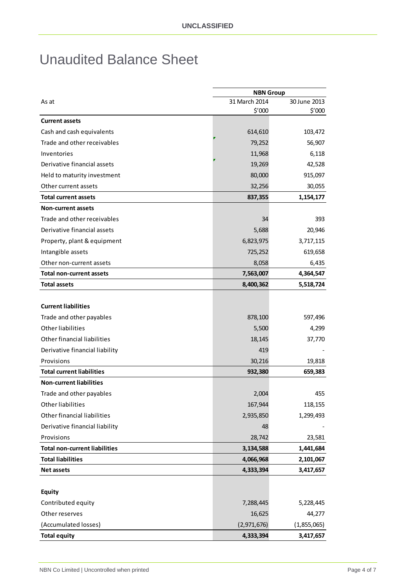#### Unaudited Balance Sheet

|                                      | <b>NBN Group</b> |              |
|--------------------------------------|------------------|--------------|
| As at                                | 31 March 2014    | 30 June 2013 |
|                                      | \$′000           | \$′000       |
| <b>Current assets</b>                |                  |              |
| Cash and cash equivalents            | 614,610          | 103,472      |
| Trade and other receivables          | 79,252           | 56,907       |
| Inventories                          | 11,968           | 6,118        |
| Derivative financial assets          | 19,269           | 42,528       |
| Held to maturity investment          | 80,000           | 915,097      |
| Other current assets                 | 32,256           | 30,055       |
| <b>Total current assets</b>          | 837,355          | 1,154,177    |
| <b>Non-current assets</b>            |                  |              |
| Trade and other receivables          | 34               | 393          |
| Derivative financial assets          | 5,688            | 20,946       |
| Property, plant & equipment          | 6,823,975        | 3,717,115    |
| Intangible assets                    | 725,252          | 619,658      |
| Other non-current assets             | 8,058            | 6,435        |
| Total non-current assets             | 7,563,007        | 4,364,547    |
| <b>Total assets</b>                  | 8,400,362        | 5,518,724    |
|                                      |                  |              |
| <b>Current liabilities</b>           |                  |              |
| Trade and other payables             | 878,100          | 597,496      |
| Other liabilities                    | 5,500            | 4,299        |
| Other financial liabilities          | 18,145           | 37,770       |
| Derivative financial liability       | 419              |              |
| Provisions                           | 30,216           | 19,818       |
| <b>Total current liabilities</b>     | 932,380          | 659,383      |
| <b>Non-current liabilities</b>       |                  |              |
| Trade and other payables             | 2,004            | 455          |
| Other liabilities                    | 167,944          | 118,155      |
| Other financial liabilities          | 2,935,850        | 1,299,493    |
| Derivative financial liability       | 48               |              |
| Provisions                           | 28,742           | 23,581       |
| <b>Total non-current liabilities</b> | 3,134,588        | 1,441,684    |
| <b>Total liabilities</b>             | 4,066,968        | 2,101,067    |
| <b>Net assets</b>                    | 4,333,394        | 3,417,657    |
|                                      |                  |              |
| <b>Equity</b>                        |                  |              |
| Contributed equity                   | 7,288,445        | 5,228,445    |
| Other reserves                       | 16,625           | 44,277       |
| (Accumulated losses)                 | (2,971,676)      | (1,855,065)  |
| <b>Total equity</b>                  | 4,333,394        | 3,417,657    |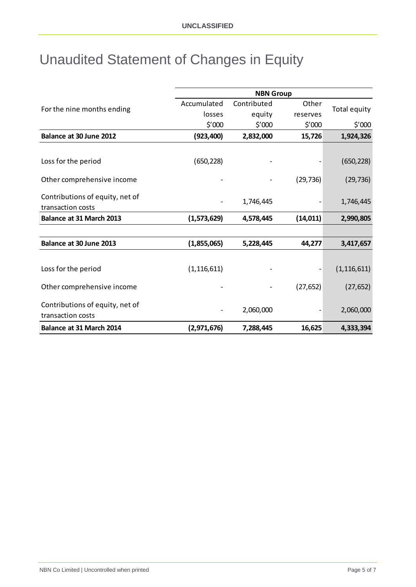# Unaudited Statement of Changes in Equity

|                                      | <b>NBN Group</b> |             |           |               |
|--------------------------------------|------------------|-------------|-----------|---------------|
|                                      | Accumulated      | Contributed | Other     |               |
| For the nine months ending<br>losses |                  | equity      | reserves  | Total equity  |
|                                      | \$′000           | \$′000      | \$′000    | \$′000        |
| Balance at 30 June 2012              | (923, 400)       | 2,832,000   | 15,726    | 1,924,326     |
|                                      |                  |             |           |               |
| Loss for the period                  | (650, 228)       |             |           | (650, 228)    |
| Other comprehensive income           |                  |             | (29, 736) | (29, 736)     |
| Contributions of equity, net of      |                  | 1,746,445   |           | 1,746,445     |
| transaction costs                    |                  |             |           |               |
| Balance at 31 March 2013             | (1,573,629)      | 4,578,445   | (14, 011) | 2,990,805     |
|                                      |                  |             |           |               |
| Balance at 30 June 2013              | (1,855,065)      | 5,228,445   | 44,277    | 3,417,657     |
|                                      |                  |             |           |               |
| Loss for the period                  | (1, 116, 611)    |             |           | (1, 116, 611) |
| Other comprehensive income           |                  |             | (27, 652) | (27, 652)     |
| Contributions of equity, net of      |                  |             |           |               |
| transaction costs                    |                  | 2,060,000   |           | 2,060,000     |
| Balance at 31 March 2014             | (2,971,676)      | 7,288,445   | 16,625    | 4,333,394     |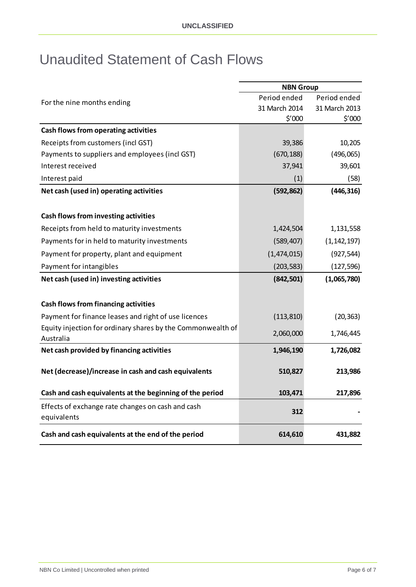#### Unaudited Statement of Cash Flows

|                                                             | <b>NBN Group</b> |               |  |
|-------------------------------------------------------------|------------------|---------------|--|
| For the nine months ending                                  | Period ended     | Period ended  |  |
|                                                             | 31 March 2014    | 31 March 2013 |  |
|                                                             | \$′000           | \$′000        |  |
| Cash flows from operating activities                        |                  |               |  |
| Receipts from customers (incl GST)                          | 39,386           | 10,205        |  |
| Payments to suppliers and employees (incl GST)              | (670, 188)       | (496,065)     |  |
| Interest received                                           | 37,941           | 39,601        |  |
| Interest paid                                               | (1)              | (58)          |  |
| Net cash (used in) operating activities                     | (592, 862)       | (446, 316)    |  |
|                                                             |                  |               |  |
| Cash flows from investing activities                        |                  |               |  |
| Receipts from held to maturity investments                  | 1,424,504        | 1,131,558     |  |
| Payments for in held to maturity investments                | (589, 407)       | (1, 142, 197) |  |
| Payment for property, plant and equipment                   | (1,474,015)      | (927, 544)    |  |
| Payment for intangibles                                     | (203, 583)       | (127, 596)    |  |
| Net cash (used in) investing activities                     | (842, 501)       | (1,065,780)   |  |
|                                                             |                  |               |  |
| <b>Cash flows from financing activities</b>                 |                  |               |  |
| Payment for finance leases and right of use licences        | (113, 810)       | (20, 363)     |  |
| Equity injection for ordinary shares by the Commonwealth of | 2,060,000        | 1,746,445     |  |
| Australia                                                   |                  |               |  |
| Net cash provided by financing activities                   | 1,946,190        | 1,726,082     |  |
|                                                             |                  |               |  |
| Net (decrease)/increase in cash and cash equivalents        | 510,827          | 213,986       |  |
| Cash and cash equivalents at the beginning of the period    | 103,471          | 217,896       |  |
| Effects of exchange rate changes on cash and cash           |                  |               |  |
| equivalents                                                 | 312              |               |  |
| Cash and cash equivalents at the end of the period          | 614,610          | 431,882       |  |